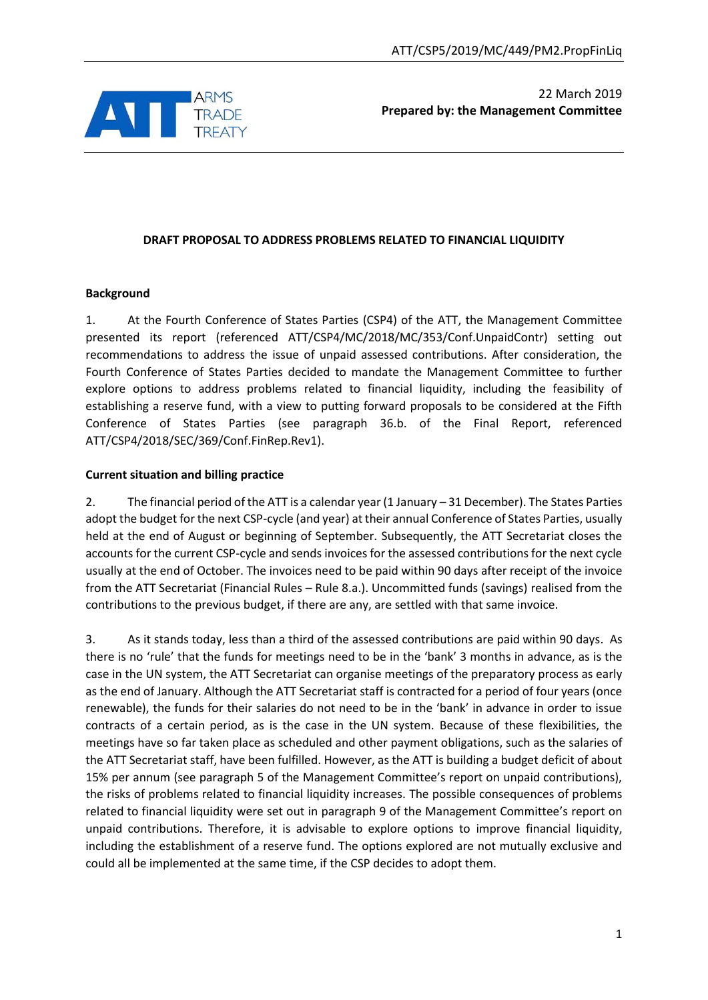

# 22 March 2019 **Prepared by: the Management Committee**

## **DRAFT PROPOSAL TO ADDRESS PROBLEMS RELATED TO FINANCIAL LIQUIDITY**

#### **Background**

1. At the Fourth Conference of States Parties (CSP4) of the ATT, the Management Committee presented its report (referenced ATT/CSP4/MC/2018/MC/353/Conf.UnpaidContr) setting out recommendations to address the issue of unpaid assessed contributions. After consideration, the Fourth Conference of States Parties decided to mandate the Management Committee to further explore options to address problems related to financial liquidity, including the feasibility of establishing a reserve fund, with a view to putting forward proposals to be considered at the Fifth Conference of States Parties (see paragraph 36.b. of the Final Report, referenced ATT/CSP4/2018/SEC/369/Conf.FinRep.Rev1).

#### **Current situation and billing practice**

2. The financial period of the ATT is a calendar year (1 January – 31 December). The States Parties adopt the budget for the next CSP-cycle (and year) at their annual Conference of States Parties, usually held at the end of August or beginning of September. Subsequently, the ATT Secretariat closes the accounts for the current CSP-cycle and sends invoices for the assessed contributions for the next cycle usually at the end of October. The invoices need to be paid within 90 days after receipt of the invoice from the ATT Secretariat (Financial Rules – Rule 8.a.). Uncommitted funds (savings) realised from the contributions to the previous budget, if there are any, are settled with that same invoice.

3. As it stands today, less than a third of the assessed contributions are paid within 90 days. As there is no 'rule' that the funds for meetings need to be in the 'bank' 3 months in advance, as is the case in the UN system, the ATT Secretariat can organise meetings of the preparatory process as early as the end of January. Although the ATT Secretariat staff is contracted for a period of four years (once renewable), the funds for their salaries do not need to be in the 'bank' in advance in order to issue contracts of a certain period, as is the case in the UN system. Because of these flexibilities, the meetings have so far taken place as scheduled and other payment obligations, such as the salaries of the ATT Secretariat staff, have been fulfilled. However, as the ATT is building a budget deficit of about 15% per annum (see paragraph 5 of the Management Committee's report on unpaid contributions), the risks of problems related to financial liquidity increases. The possible consequences of problems related to financial liquidity were set out in paragraph 9 of the Management Committee's report on unpaid contributions. Therefore, it is advisable to explore options to improve financial liquidity, including the establishment of a reserve fund. The options explored are not mutually exclusive and could all be implemented at the same time, if the CSP decides to adopt them.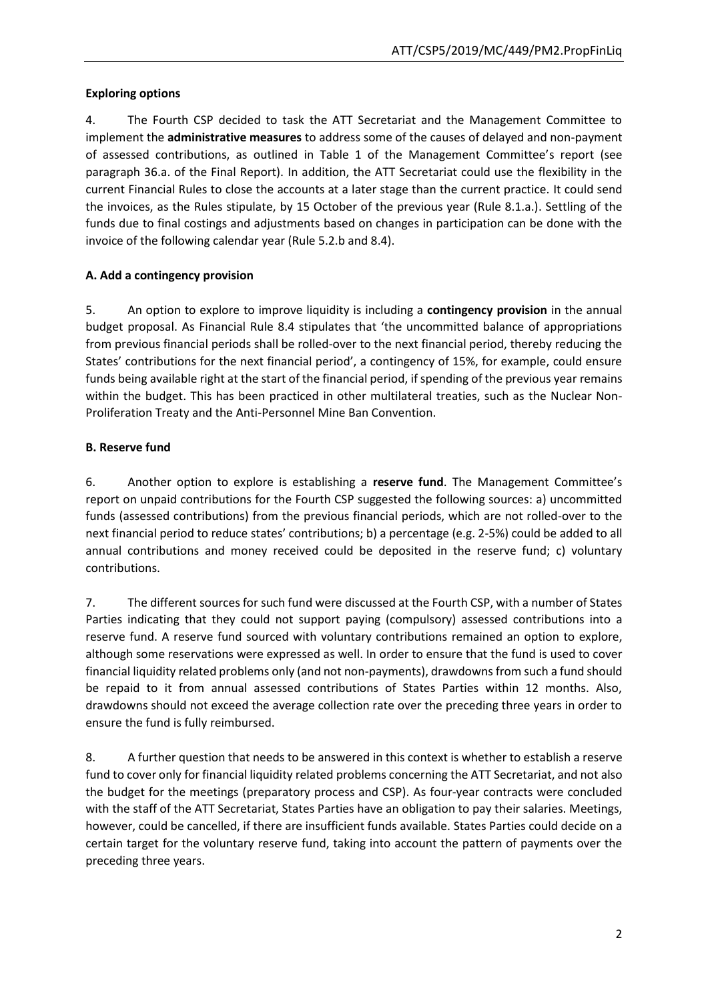## **Exploring options**

4. The Fourth CSP decided to task the ATT Secretariat and the Management Committee to implement the **administrative measures** to address some of the causes of delayed and non-payment of assessed contributions, as outlined in Table 1 of the Management Committee's report (see paragraph 36.a. of the Final Report). In addition, the ATT Secretariat could use the flexibility in the current Financial Rules to close the accounts at a later stage than the current practice. It could send the invoices, as the Rules stipulate, by 15 October of the previous year (Rule 8.1.a.). Settling of the funds due to final costings and adjustments based on changes in participation can be done with the invoice of the following calendar year (Rule 5.2.b and 8.4).

# **A. Add a contingency provision**

5. An option to explore to improve liquidity is including a **contingency provision** in the annual budget proposal. As Financial Rule 8.4 stipulates that 'the uncommitted balance of appropriations from previous financial periods shall be rolled-over to the next financial period, thereby reducing the States' contributions for the next financial period', a contingency of 15%, for example, could ensure funds being available right at the start of the financial period, if spending of the previous year remains within the budget. This has been practiced in other multilateral treaties, such as the Nuclear Non-Proliferation Treaty and the Anti-Personnel Mine Ban Convention.

### **B. Reserve fund**

6. Another option to explore is establishing a **reserve fund**. The Management Committee's report on unpaid contributions for the Fourth CSP suggested the following sources: a) uncommitted funds (assessed contributions) from the previous financial periods, which are not rolled-over to the next financial period to reduce states' contributions; b) a percentage (e.g. 2-5%) could be added to all annual contributions and money received could be deposited in the reserve fund; c) voluntary contributions.

7. The different sources for such fund were discussed at the Fourth CSP, with a number of States Parties indicating that they could not support paying (compulsory) assessed contributions into a reserve fund. A reserve fund sourced with voluntary contributions remained an option to explore, although some reservations were expressed as well. In order to ensure that the fund is used to cover financial liquidity related problems only (and not non-payments), drawdowns from such a fund should be repaid to it from annual assessed contributions of States Parties within 12 months. Also, drawdowns should not exceed the average collection rate over the preceding three years in order to ensure the fund is fully reimbursed.

8. A further question that needs to be answered in this context is whether to establish a reserve fund to cover only for financial liquidity related problems concerning the ATT Secretariat, and not also the budget for the meetings (preparatory process and CSP). As four-year contracts were concluded with the staff of the ATT Secretariat, States Parties have an obligation to pay their salaries. Meetings, however, could be cancelled, if there are insufficient funds available. States Parties could decide on a certain target for the voluntary reserve fund, taking into account the pattern of payments over the preceding three years.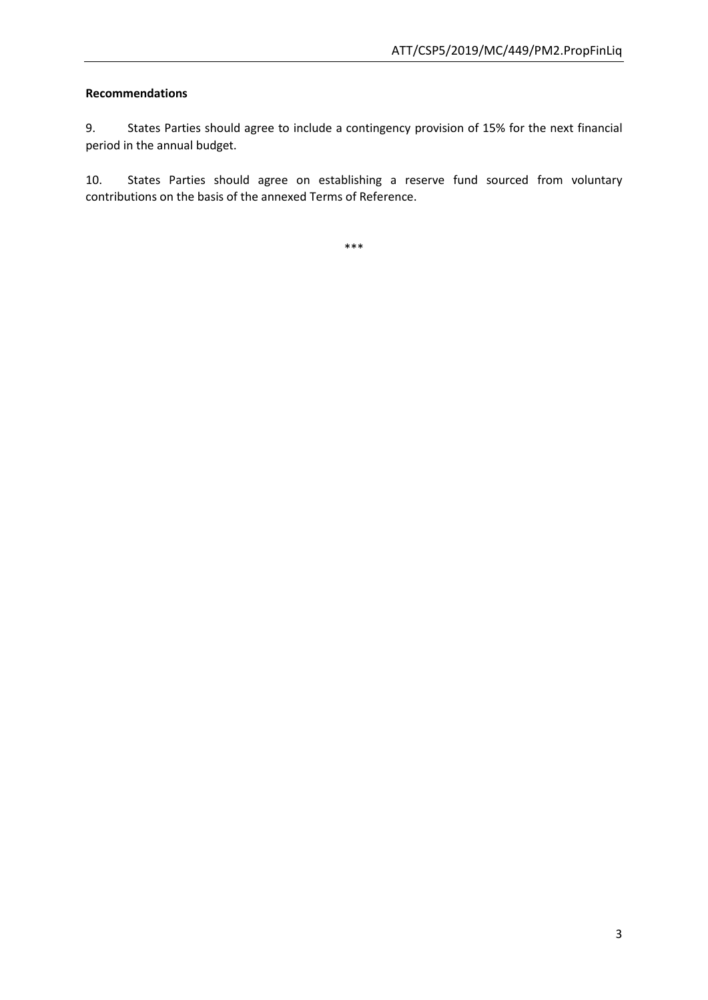### **Recommendations**

9. States Parties should agree to include a contingency provision of 15% for the next financial period in the annual budget.

10. States Parties should agree on establishing a reserve fund sourced from voluntary contributions on the basis of the annexed Terms of Reference.

\*\*\*